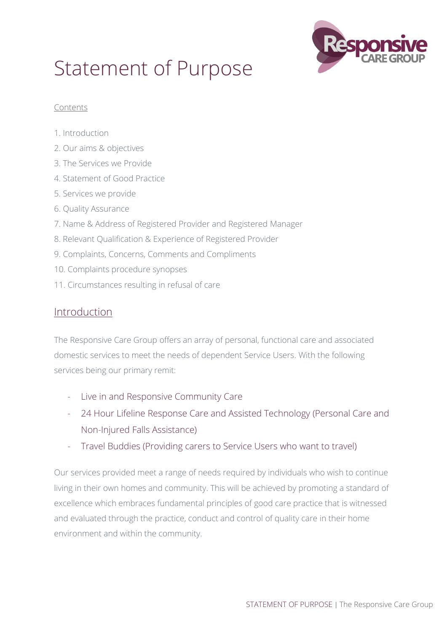

# Statement of Purpose

#### Contents

- 1. Introduction
- 2. Our aims & objectives
- 3. The Services we Provide
- 4. Statement of Good Practice
- 5. Services we provide
- 6. Quality Assurance
- 7. Name & Address of Registered Provider and Registered Manager
- 8. Relevant Qualification & Experience of Registered Provider
- 9. Complaints, Concerns, Comments and Compliments
- 10. Complaints procedure synopses
- 11. Circumstances resulting in refusal of care

## Introduction

The Responsive Care Group offers an array of personal, functional care and associated domestic services to meet the needs of dependent Service Users. With the following services being our primary remit:

- Live in and Responsive Community Care
- 24 Hour Lifeline Response Care and Assisted Technology (Personal Care and Non-Injured Falls Assistance)
- Travel Buddies (Providing carers to Service Users who want to travel)

Our services provided meet a range of needs required by individuals who wish to continue living in their own homes and community. This will be achieved by promoting a standard of excellence which embraces fundamental principles of good care practice that is witnessed and evaluated through the practice, conduct and control of quality care in their home environment and within the community.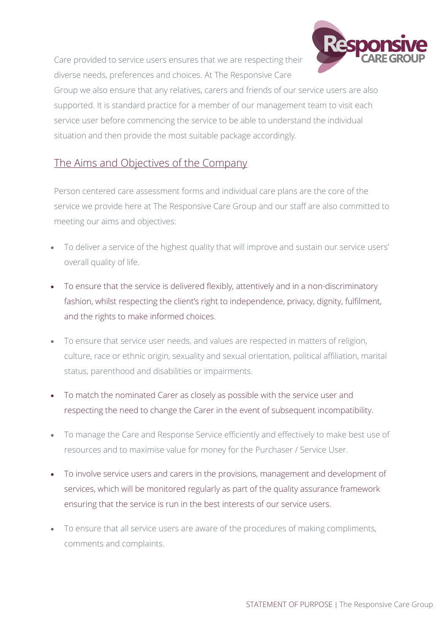Care provided to service users ensures that we are respecting their diverse needs, preferences and choices. At The Responsive Care



Group we also ensure that any relatives, carers and friends of our service users are also supported. It is standard practice for a member of our management team to visit each service user before commencing the service to be able to understand the individual situation and then provide the most suitable package accordingly.

## The Aims and Objectives of the Company

Person centered care assessment forms and individual care plans are the core of the service we provide here at The Responsive Care Group and our staff are also committed to meeting our aims and objectives:

- To deliver a service of the highest quality that will improve and sustain our service users' overall quality of life.
- To ensure that the service is delivered flexibly, attentively and in a non-discriminatory fashion, whilst respecting the client's right to independence, privacy, dignity, fulfilment, and the rights to make informed choices.
- To ensure that service user needs, and values are respected in matters of religion, culture, race or ethnic origin, sexuality and sexual orientation, political affiliation, marital status, parenthood and disabilities or impairments.
- To match the nominated Carer as closely as possible with the service user and respecting the need to change the Carer in the event of subsequent incompatibility.
- To manage the Care and Response Service efficiently and effectively to make best use of resources and to maximise value for money for the Purchaser / Service User.
- To involve service users and carers in the provisions, management and development of services, which will be monitored regularly as part of the quality assurance framework ensuring that the service is run in the best interests of our service users.
- To ensure that all service users are aware of the procedures of making compliments, comments and complaints.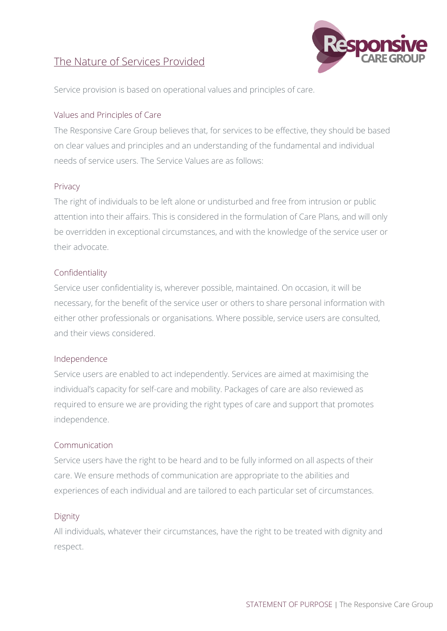## The Nature of Services Provided



Service provision is based on operational values and principles of care.

#### Values and Principles of Care

The Responsive Care Group believes that, for services to be effective, they should be based on clear values and principles and an understanding of the fundamental and individual needs of service users. The Service Values are as follows:

#### Privacy

The right of individuals to be left alone or undisturbed and free from intrusion or public attention into their affairs. This is considered in the formulation of Care Plans, and will only be overridden in exceptional circumstances, and with the knowledge of the service user or their advocate.

#### Confidentiality

Service user confidentiality is, wherever possible, maintained. On occasion, it will be necessary, for the benefit of the service user or others to share personal information with either other professionals or organisations. Where possible, service users are consulted, and their views considered.

#### Independence

Service users are enabled to act independently. Services are aimed at maximising the individual's capacity for self-care and mobility. Packages of care are also reviewed as required to ensure we are providing the right types of care and support that promotes independence.

#### Communication

Service users have the right to be heard and to be fully informed on all aspects of their care. We ensure methods of communication are appropriate to the abilities and experiences of each individual and are tailored to each particular set of circumstances.

#### Dignity

All individuals, whatever their circumstances, have the right to be treated with dignity and respect.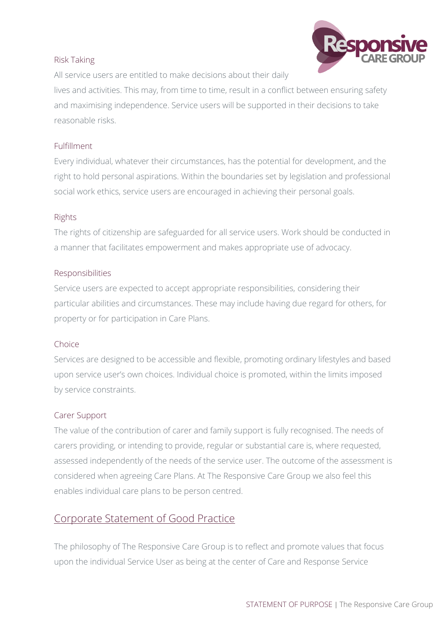#### Risk Taking



All service users are entitled to make decisions about their daily

lives and activities. This may, from time to time, result in a conflict between ensuring safety and maximising independence. Service users will be supported in their decisions to take reasonable risks.

#### Fulfillment

Every individual, whatever their circumstances, has the potential for development, and the right to hold personal aspirations. Within the boundaries set by legislation and professional social work ethics, service users are encouraged in achieving their personal goals.

#### Rights

The rights of citizenship are safeguarded for all service users. Work should be conducted in a manner that facilitates empowerment and makes appropriate use of advocacy.

#### Responsibilities

Service users are expected to accept appropriate responsibilities, considering their particular abilities and circumstances. These may include having due regard for others, for property or for participation in Care Plans.

#### Choice

Services are designed to be accessible and flexible, promoting ordinary lifestyles and based upon service user's own choices. Individual choice is promoted, within the limits imposed by service constraints.

#### Carer Support

The value of the contribution of carer and family support is fully recognised. The needs of carers providing, or intending to provide, regular or substantial care is, where requested, assessed independently of the needs of the service user. The outcome of the assessment is considered when agreeing Care Plans. At The Responsive Care Group we also feel this enables individual care plans to be person centred.

## Corporate Statement of Good Practice

The philosophy of The Responsive Care Group is to reflect and promote values that focus upon the individual Service User as being at the center of Care and Response Service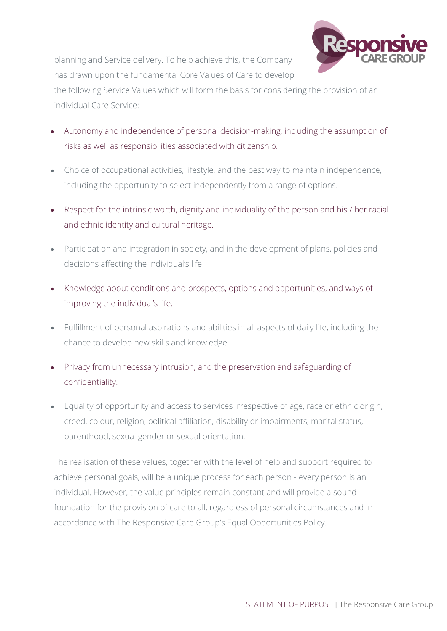

planning and Service delivery. To help achieve this, the Company has drawn upon the fundamental Core Values of Care to develop

the following Service Values which will form the basis for considering the provision of an individual Care Service:

- Autonomy and independence of personal decision-making, including the assumption of risks as well as responsibilities associated with citizenship.
- Choice of occupational activities, lifestyle, and the best way to maintain independence, including the opportunity to select independently from a range of options.
- Respect for the intrinsic worth, dignity and individuality of the person and his / her racial and ethnic identity and cultural heritage.
- Participation and integration in society, and in the development of plans, policies and decisions affecting the individual's life.
- Knowledge about conditions and prospects, options and opportunities, and ways of improving the individual's life.
- Fulfillment of personal aspirations and abilities in all aspects of daily life, including the chance to develop new skills and knowledge.
- Privacy from unnecessary intrusion, and the preservation and safeguarding of confidentiality.
- Equality of opportunity and access to services irrespective of age, race or ethnic origin, creed, colour, religion, political affiliation, disability or impairments, marital status, parenthood, sexual gender or sexual orientation.

The realisation of these values, together with the level of help and support required to achieve personal goals, will be a unique process for each person - every person is an individual. However, the value principles remain constant and will provide a sound foundation for the provision of care to all, regardless of personal circumstances and in accordance with The Responsive Care Group's Equal Opportunities Policy.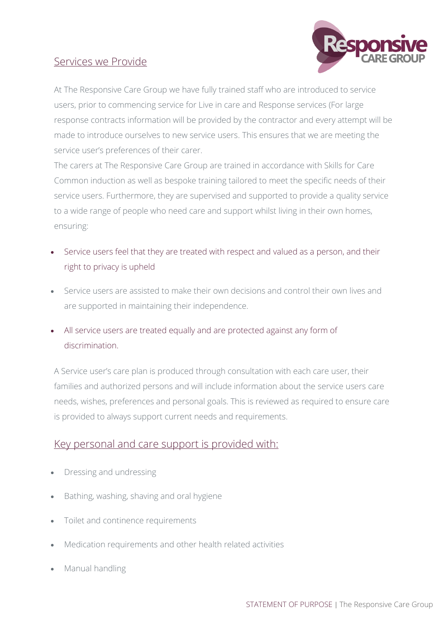

## Services we Provide

At The Responsive Care Group we have fully trained staff who are introduced to service users, prior to commencing service for Live in care and Response services (For large response contracts information will be provided by the contractor and every attempt will be made to introduce ourselves to new service users. This ensures that we are meeting the service user's preferences of their carer.

The carers at The Responsive Care Group are trained in accordance with Skills for Care Common induction as well as bespoke training tailored to meet the specific needs of their service users. Furthermore, they are supervised and supported to provide a quality service to a wide range of people who need care and support whilst living in their own homes, ensuring:

- Service users feel that they are treated with respect and valued as a person, and their right to privacy is upheld
- Service users are assisted to make their own decisions and control their own lives and are supported in maintaining their independence.
- All service users are treated equally and are protected against any form of discrimination.

A Service user's care plan is produced through consultation with each care user, their families and authorized persons and will include information about the service users care needs, wishes, preferences and personal goals. This is reviewed as required to ensure care is provided to always support current needs and requirements.

## Key personal and care support is provided with:

- Dressing and undressing
- Bathing, washing, shaving and oral hygiene
- Toilet and continence requirements
- Medication requirements and other health related activities
- Manual handling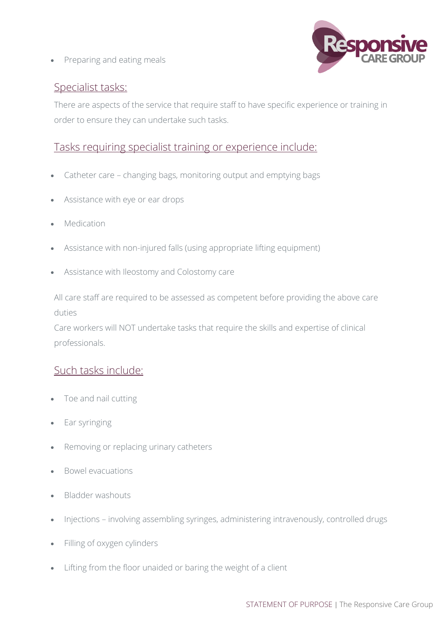• Preparing and eating meals



## Specialist tasks:

There are aspects of the service that require staff to have specific experience or training in order to ensure they can undertake such tasks.

## Tasks requiring specialist training or experience include:

- Catheter care changing bags, monitoring output and emptying bags
- Assistance with eye or ear drops
- Medication
- Assistance with non-injured falls (using appropriate lifting equipment)
- Assistance with Ileostomy and Colostomy care

All care staff are required to be assessed as competent before providing the above care duties

Care workers will NOT undertake tasks that require the skills and expertise of clinical professionals.

## Such tasks include:

- Toe and nail cutting
- Ear syringing
- Removing or replacing urinary catheters
- Bowel evacuations
- Bladder washouts
- Injections involving assembling syringes, administering intravenously, controlled drugs
- Filling of oxygen cylinders
- Lifting from the floor unaided or baring the weight of a client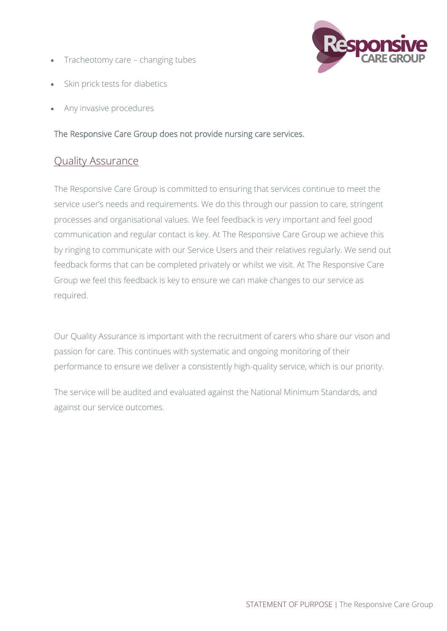• Tracheotomy care – changing tubes



- Skin prick tests for diabetics
- Any invasive procedures

## The Responsive Care Group does not provide nursing care services.

## Quality Assurance

The Responsive Care Group is committed to ensuring that services continue to meet the service user's needs and requirements. We do this through our passion to care, stringent processes and organisational values. We feel feedback is very important and feel good communication and regular contact is key. At The Responsive Care Group we achieve this by ringing to communicate with our Service Users and their relatives regularly. We send out feedback forms that can be completed privately or whilst we visit. At The Responsive Care Group we feel this feedback is key to ensure we can make changes to our service as required.

Our Quality Assurance is important with the recruitment of carers who share our vison and passion for care. This continues with systematic and ongoing monitoring of their performance to ensure we deliver a consistently high-quality service, which is our priority.

The service will be audited and evaluated against the National Minimum Standards, and against our service outcomes.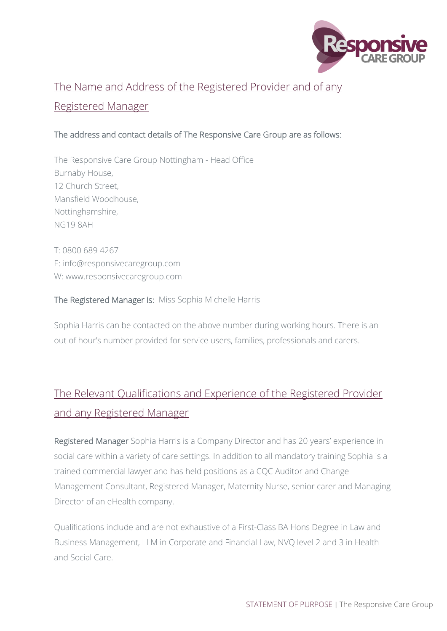

# The Name and Address of the Registered Provider and of any Registered Manager

## The address and contact details of The Responsive Care Group are as follows:

The Responsive Care Group Nottingham - Head Office Burnaby House, 12 Church Street, Mansfield Woodhouse, Nottinghamshire, NG19 8AH

T: 0800 689 4267 E: info@responsivecaregroup.com W: www.responsivecaregroup.com

#### The Registered Manager is: Miss Sophia Michelle Harris

Sophia Harris can be contacted on the above number during working hours. There is an out of hour's number provided for service users, families, professionals and carers.

# The Relevant Qualifications and Experience of the Registered Provider and any Registered Manager

Registered Manager Sophia Harris is a Company Director and has 20 years' experience in social care within a variety of care settings. In addition to all mandatory training Sophia is a trained commercial lawyer and has held positions as a CQC Auditor and Change Management Consultant, Registered Manager, Maternity Nurse, senior carer and Managing Director of an eHealth company.

Qualifications include and are not exhaustive of a First-Class BA Hons Degree in Law and Business Management, LLM in Corporate and Financial Law, NVQ level 2 and 3 in Health and Social Care.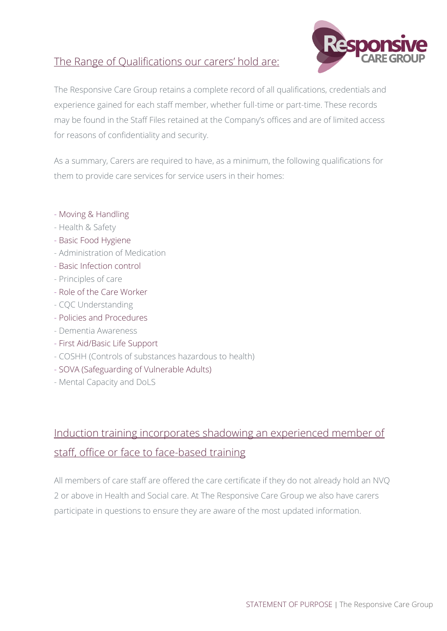# The Range of Qualifications our carers' hold are:



The Responsive Care Group retains a complete record of all qualifications, credentials and experience gained for each staff member, whether full-time or part-time. These records may be found in the Staff Files retained at the Company's offices and are of limited access for reasons of confidentiality and security.

As a summary, Carers are required to have, as a minimum, the following qualifications for them to provide care services for service users in their homes:

- Moving & Handling
- Health & Safety
- Basic Food Hygiene
- Administration of Medication
- Basic Infection control
- Principles of care
- Role of the Care Worker
- CQC Understanding
- Policies and Procedures
- Dementia Awareness
- First Aid/Basic Life Support
- COSHH (Controls of substances hazardous to health)
- SOVA (Safeguarding of Vulnerable Adults)
- Mental Capacity and DoLS

# Induction training incorporates shadowing an experienced member of staff, office or face to face-based training

All members of care staff are offered the care certificate if they do not already hold an NVQ 2 or above in Health and Social care. At The Responsive Care Group we also have carers participate in questions to ensure they are aware of the most updated information.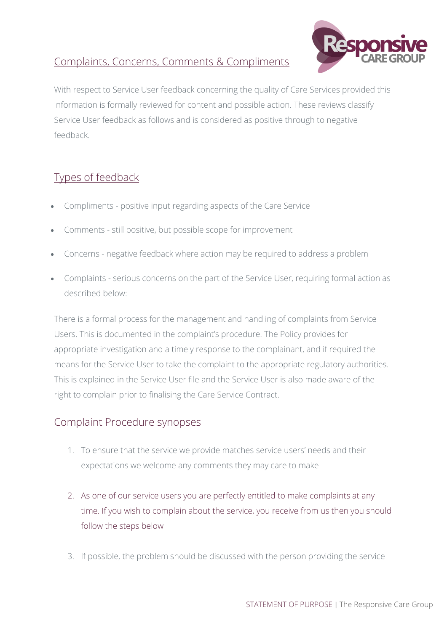# Complaints, Concerns, Comments & Compliments



With respect to Service User feedback concerning the quality of Care Services provided this information is formally reviewed for content and possible action. These reviews classify Service User feedback as follows and is considered as positive through to negative feedback.

# Types of feedback

- Compliments positive input regarding aspects of the Care Service
- Comments still positive, but possible scope for improvement
- Concerns negative feedback where action may be required to address a problem
- Complaints serious concerns on the part of the Service User, requiring formal action as described below:

There is a formal process for the management and handling of complaints from Service Users. This is documented in the complaint's procedure. The Policy provides for appropriate investigation and a timely response to the complainant, and if required the means for the Service User to take the complaint to the appropriate regulatory authorities. This is explained in the Service User file and the Service User is also made aware of the right to complain prior to finalising the Care Service Contract.

## Complaint Procedure synopses

- 1. To ensure that the service we provide matches service users' needs and their expectations we welcome any comments they may care to make
- 2. As one of our service users you are perfectly entitled to make complaints at any time. If you wish to complain about the service, you receive from us then you should follow the steps below
- 3. If possible, the problem should be discussed with the person providing the service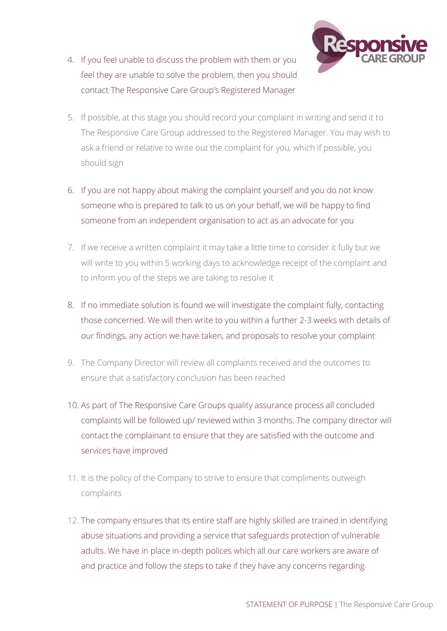

- 4. If you feel unable to discuss the problem with them or you feel they are unable to solve the problem, then you should contact The Responsive Care Group's Registered Manager
- 5. If possible, at this stage you should record your complaint in writing and send it to The Responsive Care Group addressed to the Registered Manager. You may wish to ask a friend or relative to write out the complaint for you, which if possible, you should sign
- 6. If you are not happy about making the complaint yourself and you do not know someone who is prepared to talk to us on your behalf, we will be happy to find someone from an independent organisation to act as an advocate for you
- 7. If we receive a written complaint it may take a little time to consider it fully but we will write to you within 5 working days to acknowledge receipt of the complaint and to inform you of the steps we are taking to resolve it
- 8. If no immediate solution is found we will investigate the complaint fully, contacting those concerned. We will then write to you within a further 2-3 weeks with details of our findings, any action we have taken, and proposals to resolve your complaint
- 9. The Company Director will review all complaints received and the outcomes to ensure that a satisfactory conclusion has been reached
- 10. As part of The Responsive Care Groups quality assurance process all concluded complaints will be followed up/ reviewed within 3 months. The company director will contact the complainant to ensure that they are satisfied with the outcome and services have improved
- 11. It is the policy of the Company to strive to ensure that compliments outweigh complaints
- 12. The company ensures that its entire staff are highly skilled are trained in identifying abuse situations and providing a service that safeguards protection of vulnerable adults. We have in place in-depth polices which all our care workers are aware of and practice and follow the steps to take if they have any concerns regarding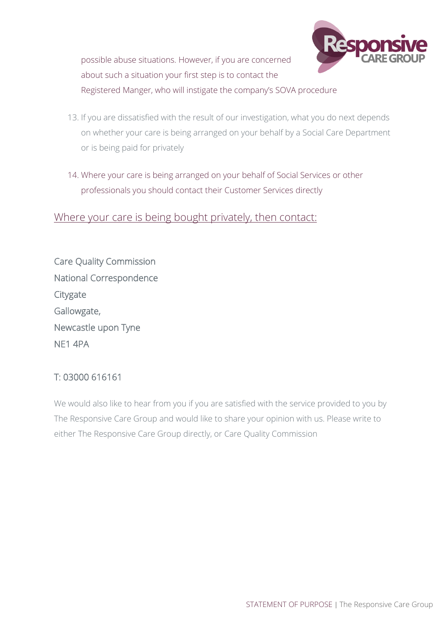possible abuse situations. However, if you are concerned about such a situation your first step is to contact the Registered Manger, who will instigate the company's SOVA procedure



- 13. If you are dissatisfied with the result of our investigation, what you do next depends on whether your care is being arranged on your behalf by a Social Care Department or is being paid for privately
- 14. Where your care is being arranged on your behalf of Social Services or other professionals you should contact their Customer Services directly

## Where your care is being bought privately, then contact:

| <b>Care Quality Commission</b> |
|--------------------------------|
| National Correspondence        |
| Citygate                       |
| Gallowgate,                    |
| Newcastle upon Tyne            |
| NE1 4PA                        |

## T: 03000 616161

We would also like to hear from you if you are satisfied with the service provided to you by The Responsive Care Group and would like to share your opinion with us. Please write to either The Responsive Care Group directly, or Care Quality Commission